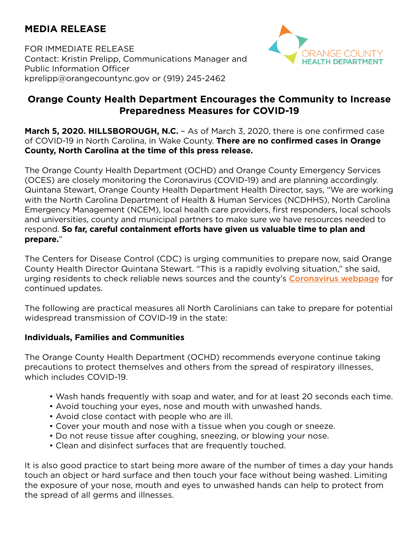# **MEDIA RELEASE**

FOR IMMEDIATE RELEASE Contact: Kristin Prelipp, Communications Manager and Public Information Officer kprelipp@orangecountync.gov or (919) 245-2462



# **Orange County Health Department Encourages the Community to Increase Preparedness Measures for COVID-19**

**March 5, 2020. HILLSBOROUGH, N.C.** - As of March 3, 2020, there is one confirmed case of COVID-19 in North Carolina, in Wake County. **There are no confirmed cases in Orange County, North Carolina at the time of this press release.** 

The Orange County Health Department (OCHD) and Orange County Emergency Services (OCES) are closely monitoring the Coronavirus (COVID-19) and are planning accordingly. Quintana Stewart, Orange County Health Department Health Director, says, "We are working with the North Carolina Department of Health & Human Services (NCDHHS), North Carolina Emergency Management (NCEM), local health care providers, first responders, local schools and universities, county and municipal partners to make sure we have resources needed to respond. **So far, careful containment efforts have given us valuable time to plan and prepare.**"

The Centers for Disease Control (CDC) is urging communities to prepare now, said Orange County Health Director Quintana Stewart. "This is a rapidly evolving situation," she said, urging residents to check reliable news sources and the county's [Coronavirus webpage](https://www.orangecountync.gov/2332/coronavirus) for continued updates.

The following are practical measures all North Carolinians can take to prepare for potential widespread transmission of COVID-19 in the state:

## **Individuals, Families and Communities**

The Orange County Health Department (OCHD) recommends everyone continue taking precautions to protect themselves and others from the spread of respiratory illnesses, which includes COVID-19.

- Wash hands frequently with soap and water, and for at least 20 seconds each time.
- Avoid touching your eyes, nose and mouth with unwashed hands.
- Avoid close contact with people who are ill.
- Cover your mouth and nose with a tissue when you cough or sneeze.
- Do not reuse tissue after coughing, sneezing, or blowing your nose.
- Clean and disinfect surfaces that are frequently touched.

It is also good practice to start being more aware of the number of times a day your hands touch an object or hard surface and then touch your face without being washed. Limiting the exposure of your nose, mouth and eyes to unwashed hands can help to protect from the spread of all germs and illnesses.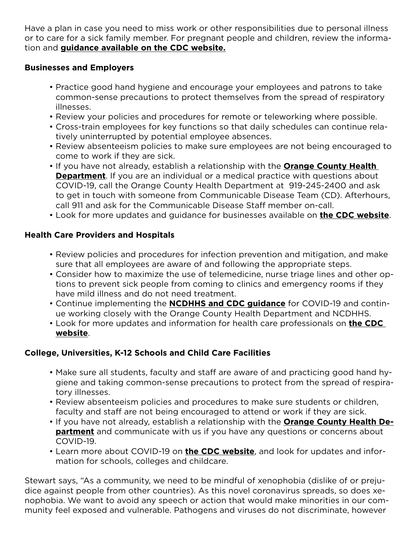Have a plan in case you need to miss work or other responsibilities due to personal illness or to care for a sick family member. For pregnant people and children, review the information and **[guidance available on the CDC website.](https://www.cdc.gov/coronavirus/2019-ncov/specific-groups/pregnant-women.html)**

#### **Businesses and Employers**

- Practice good hand hygiene and encourage your employees and patrons to take common-sense precautions to protect themselves from the spread of respiratory illnesses.
- Review your policies and procedures for remote or teleworking where possible.
- Cross-train employees for key functions so that daily schedules can continue relatively uninterrupted by potential employee absences.
- Review absenteeism policies to make sure employees are not being encouraged to come to work if they are sick.
- If you have not already, establish a relationship with the **[Orange County Health](https://www.orangecountync.gov/2332/coronavirus)  [Department](https://www.orangecountync.gov/2332/coronavirus)**. If you are an individual or a medical practice with questions about COVID-19, call the Orange County Health Department at 919-245-2400 and ask to get in touch with someone from Communicable Disease Team (CD). Afterhours, call 911 and ask for the Communicable Disease Staff member on-call.
- Look for more updates and guidance for businesses available on **[the CDC website](https://www.cdc.gov/coronavirus/2019-ncov/specific-groups/guidance-business-response.html?CDC_AA_refVal=https%3A%2F%2Fwww.cdc.gov%2Fcoronavirus%2F2019-ncov%2Fguidance-business-response.html)**.

#### **Health Care Providers and Hospitals**

- Review policies and procedures for infection prevention and mitigation, and make sure that all employees are aware of and following the appropriate steps.
- Consider how to maximize the use of telemedicine, nurse triage lines and other options to prevent sick people from coming to clinics and emergency rooms if they have mild illness and do not need treatment.
- Continue implementing the **[NCDHHS and CDC guidance](https://epi.dph.ncdhhs.gov/cd/coronavirus/providers.html)** for COVID-19 and continue working closely with the Orange County Health Department and NCDHHS.
- Look for more updates and information for health care professionals on **[the CDC](https://www.cdc.gov/coronavirus/2019-nCoV/hcp/index.html)  [website](https://www.cdc.gov/coronavirus/2019-nCoV/hcp/index.html)**.

## **College, Universities, K-12 Schools and Child Care Facilities**

- Make sure all students, faculty and staff are aware of and practicing good hand hygiene and taking common-sense precautions to protect from the spread of respiratory illnesses.
- Review absenteeism policies and procedures to make sure students or children, faculty and staff are not being encouraged to attend or work if they are sick.
- If you have not already, establish a relationship with the **[Orange County Health De](https://www.orangecountync.gov/2332/coronavirus)[partment](https://www.orangecountync.gov/2332/coronavirus)** and communicate with us if you have any questions or concerns about COVID-19.
- Learn more about COVID-19 on **[the CDC website](https://www.cdc.gov/coronavirus/2019-ncov/about/index.html)**, and look for updates and information for schools, colleges and childcare.

Stewart says, "As a community, we need to be mindful of xenophobia (dislike of or prejudice against people from other countries). As this novel coronavirus spreads, so does xenophobia. We want to avoid any speech or action that would make minorities in our community feel exposed and vulnerable. Pathogens and viruses do not discriminate, however